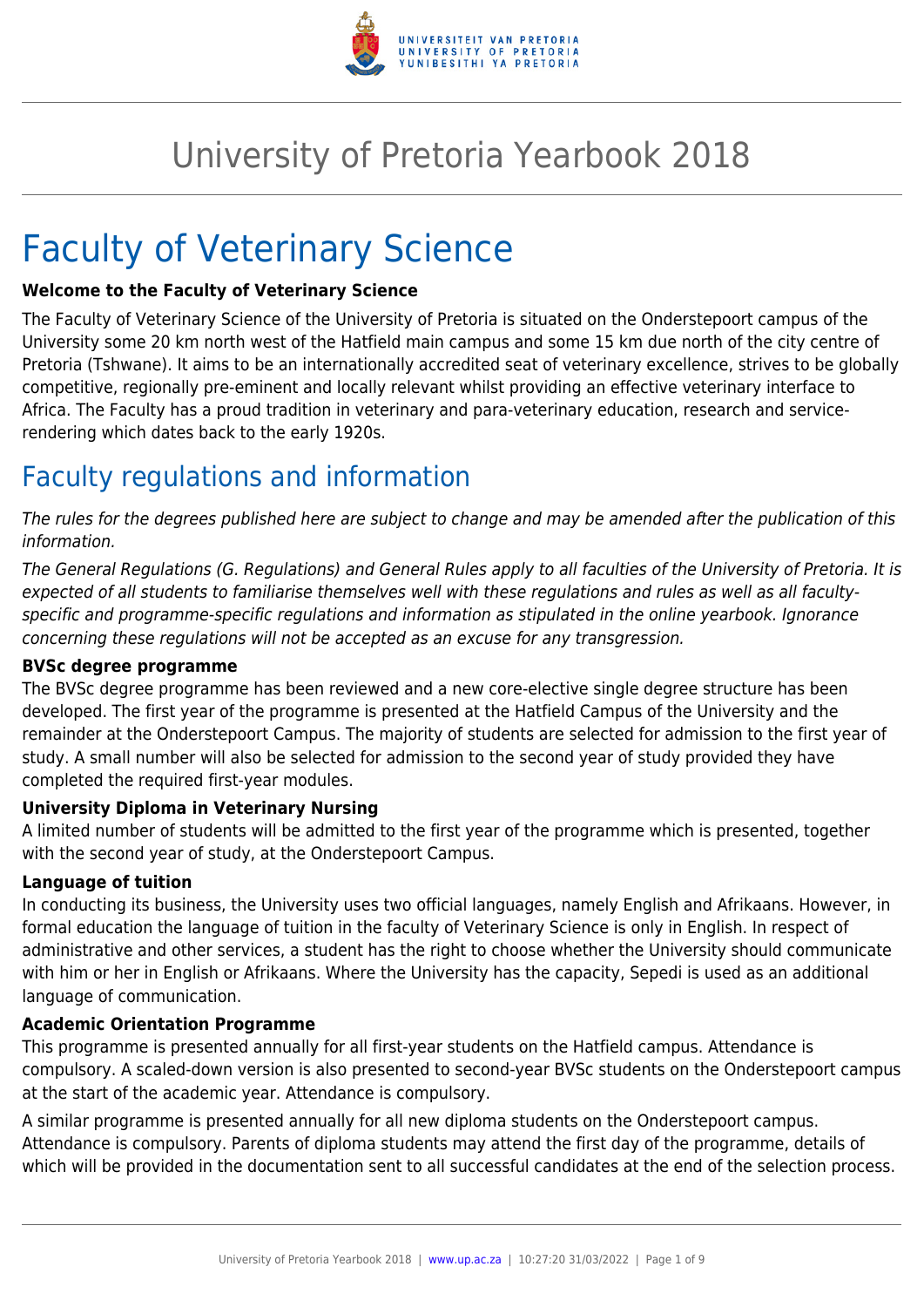

# University of Pretoria Yearbook 2018

# Faculty of Veterinary Science

#### **Welcome to the Faculty of Veterinary Science**

The Faculty of Veterinary Science of the University of Pretoria is situated on the Onderstepoort campus of the University some 20 km north west of the Hatfield main campus and some 15 km due north of the city centre of Pretoria (Tshwane). It aims to be an internationally accredited seat of veterinary excellence, strives to be globally competitive, regionally pre-eminent and locally relevant whilst providing an effective veterinary interface to Africa. The Faculty has a proud tradition in veterinary and para-veterinary education, research and servicerendering which dates back to the early 1920s.

## Faculty regulations and information

The rules for the degrees published here are subject to change and may be amended after the publication of this information.

The General Regulations (G. Regulations) and General Rules apply to all faculties of the University of Pretoria. It is expected of all students to familiarise themselves well with these regulations and rules as well as all facultyspecific and programme-specific regulations and information as stipulated in the online yearbook. Ignorance concerning these regulations will not be accepted as an excuse for any transgression.

#### **BVSc degree programme**

The BVSc degree programme has been reviewed and a new core-elective single degree structure has been developed. The first year of the programme is presented at the Hatfield Campus of the University and the remainder at the Onderstepoort Campus. The majority of students are selected for admission to the first year of study. A small number will also be selected for admission to the second year of study provided they have completed the required first-year modules.

#### **University Diploma in Veterinary Nursing**

A limited number of students will be admitted to the first year of the programme which is presented, together with the second year of study, at the Onderstepoort Campus.

#### **Language of tuition**

In conducting its business, the University uses two official languages, namely English and Afrikaans. However, in formal education the language of tuition in the faculty of Veterinary Science is only in English. In respect of administrative and other services, a student has the right to choose whether the University should communicate with him or her in English or Afrikaans. Where the University has the capacity, Sepedi is used as an additional language of communication.

#### **Academic Orientation Programme**

This programme is presented annually for all first-year students on the Hatfield campus. Attendance is compulsory. A scaled-down version is also presented to second-year BVSc students on the Onderstepoort campus at the start of the academic year. Attendance is compulsory.

A similar programme is presented annually for all new diploma students on the Onderstepoort campus. Attendance is compulsory. Parents of diploma students may attend the first day of the programme, details of which will be provided in the documentation sent to all successful candidates at the end of the selection process.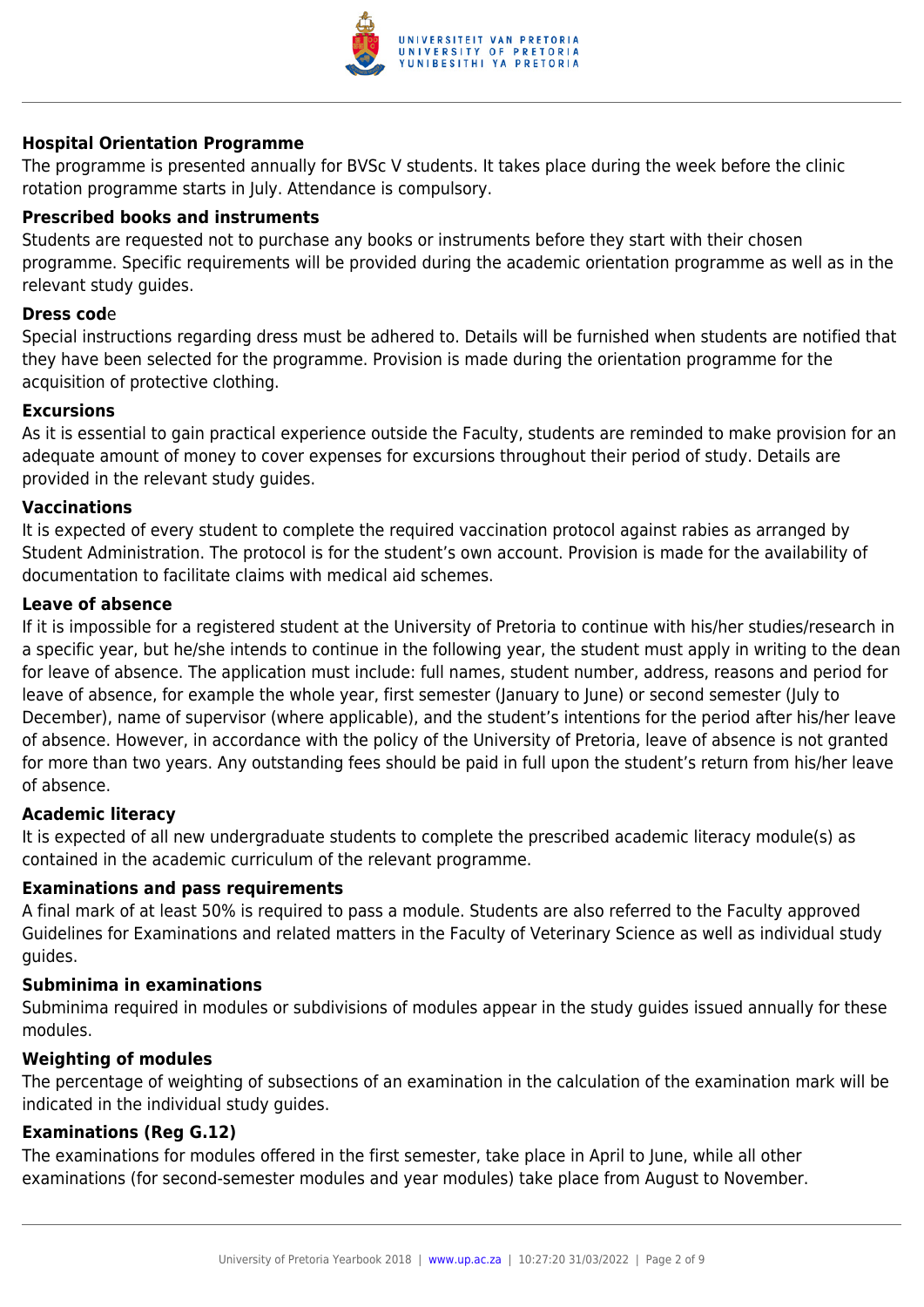

#### **Hospital Orientation Programme**

The programme is presented annually for BVSc V students. It takes place during the week before the clinic rotation programme starts in July. Attendance is compulsory.

#### **Prescribed books and instruments**

Students are requested not to purchase any books or instruments before they start with their chosen programme. Specific requirements will be provided during the academic orientation programme as well as in the relevant study guides.

#### **Dress cod**e

Special instructions regarding dress must be adhered to. Details will be furnished when students are notified that they have been selected for the programme. Provision is made during the orientation programme for the acquisition of protective clothing.

#### **Excursions**

As it is essential to gain practical experience outside the Faculty, students are reminded to make provision for an adequate amount of money to cover expenses for excursions throughout their period of study. Details are provided in the relevant study guides.

#### **Vaccinations**

It is expected of every student to complete the required vaccination protocol against rabies as arranged by Student Administration. The protocol is for the student's own account. Provision is made for the availability of documentation to facilitate claims with medical aid schemes.

#### **Leave of absence**

If it is impossible for a registered student at the University of Pretoria to continue with his/her studies/research in a specific year, but he/she intends to continue in the following year, the student must apply in writing to the dean for leave of absence. The application must include: full names, student number, address, reasons and period for leave of absence, for example the whole year, first semester (January to June) or second semester (July to December), name of supervisor (where applicable), and the student's intentions for the period after his/her leave of absence. However, in accordance with the policy of the University of Pretoria, leave of absence is not granted for more than two years. Any outstanding fees should be paid in full upon the student's return from his/her leave of absence.

#### **Academic literacy**

It is expected of all new undergraduate students to complete the prescribed academic literacy module(s) as contained in the academic curriculum of the relevant programme.

#### **Examinations and pass requirements**

A final mark of at least 50% is required to pass a module. Students are also referred to the Faculty approved Guidelines for Examinations and related matters in the Faculty of Veterinary Science as well as individual study guides.

#### **Subminima in examinations**

Subminima required in modules or subdivisions of modules appear in the study guides issued annually for these modules.

#### **Weighting of modules**

The percentage of weighting of subsections of an examination in the calculation of the examination mark will be indicated in the individual study guides.

#### **Examinations (Reg G.12)**

The examinations for modules offered in the first semester, take place in April to June, while all other examinations (for second-semester modules and year modules) take place from August to November.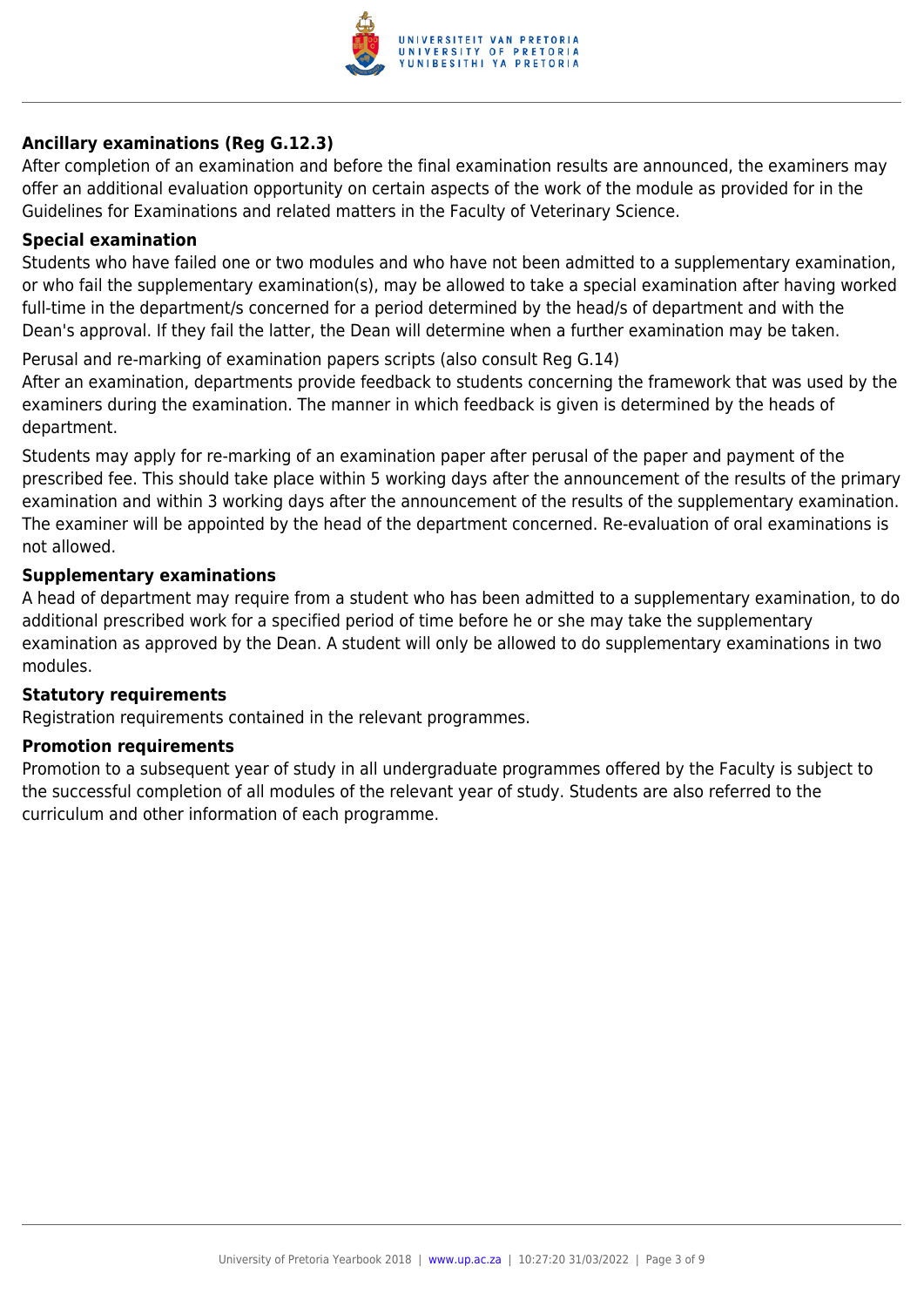

#### **Ancillary examinations (Reg G.12.3)**

After completion of an examination and before the final examination results are announced, the examiners may offer an additional evaluation opportunity on certain aspects of the work of the module as provided for in the Guidelines for Examinations and related matters in the Faculty of Veterinary Science.

#### **Special examination**

Students who have failed one or two modules and who have not been admitted to a supplementary examination, or who fail the supplementary examination(s), may be allowed to take a special examination after having worked full-time in the department/s concerned for a period determined by the head/s of department and with the Dean's approval. If they fail the latter, the Dean will determine when a further examination may be taken.

Perusal and re-marking of examination papers scripts (also consult Reg G.14)

After an examination, departments provide feedback to students concerning the framework that was used by the examiners during the examination. The manner in which feedback is given is determined by the heads of department.

Students may apply for re-marking of an examination paper after perusal of the paper and payment of the prescribed fee. This should take place within 5 working days after the announcement of the results of the primary examination and within 3 working days after the announcement of the results of the supplementary examination. The examiner will be appointed by the head of the department concerned. Re-evaluation of oral examinations is not allowed.

#### **Supplementary examinations**

A head of department may require from a student who has been admitted to a supplementary examination, to do additional prescribed work for a specified period of time before he or she may take the supplementary examination as approved by the Dean. A student will only be allowed to do supplementary examinations in two modules.

#### **Statutory requirements**

Registration requirements contained in the relevant programmes.

#### **Promotion requirements**

Promotion to a subsequent year of study in all undergraduate programmes offered by the Faculty is subject to the successful completion of all modules of the relevant year of study. Students are also referred to the curriculum and other information of each programme.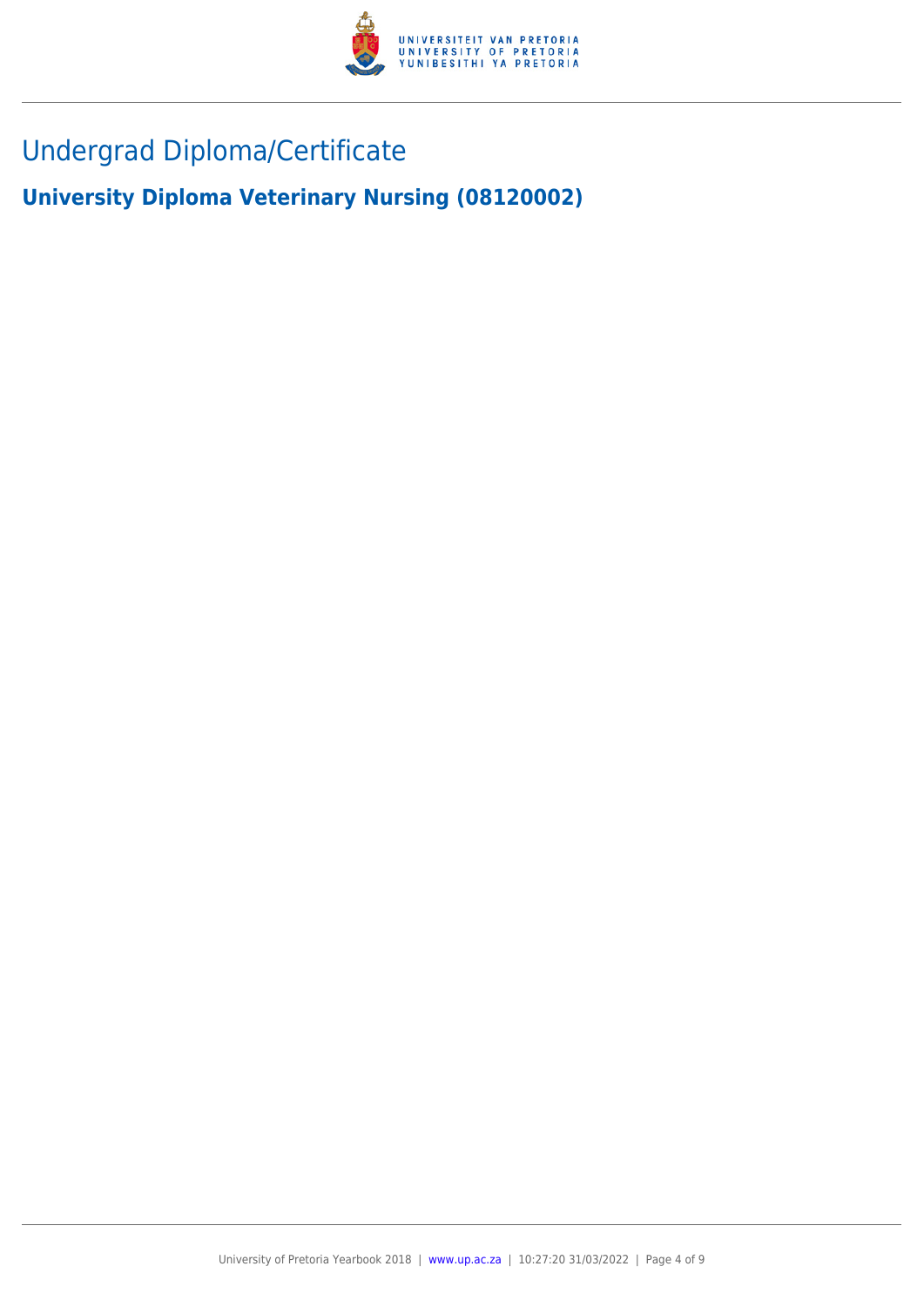

## Undergrad Diploma/Certificate

**University Diploma Veterinary Nursing (08120002)**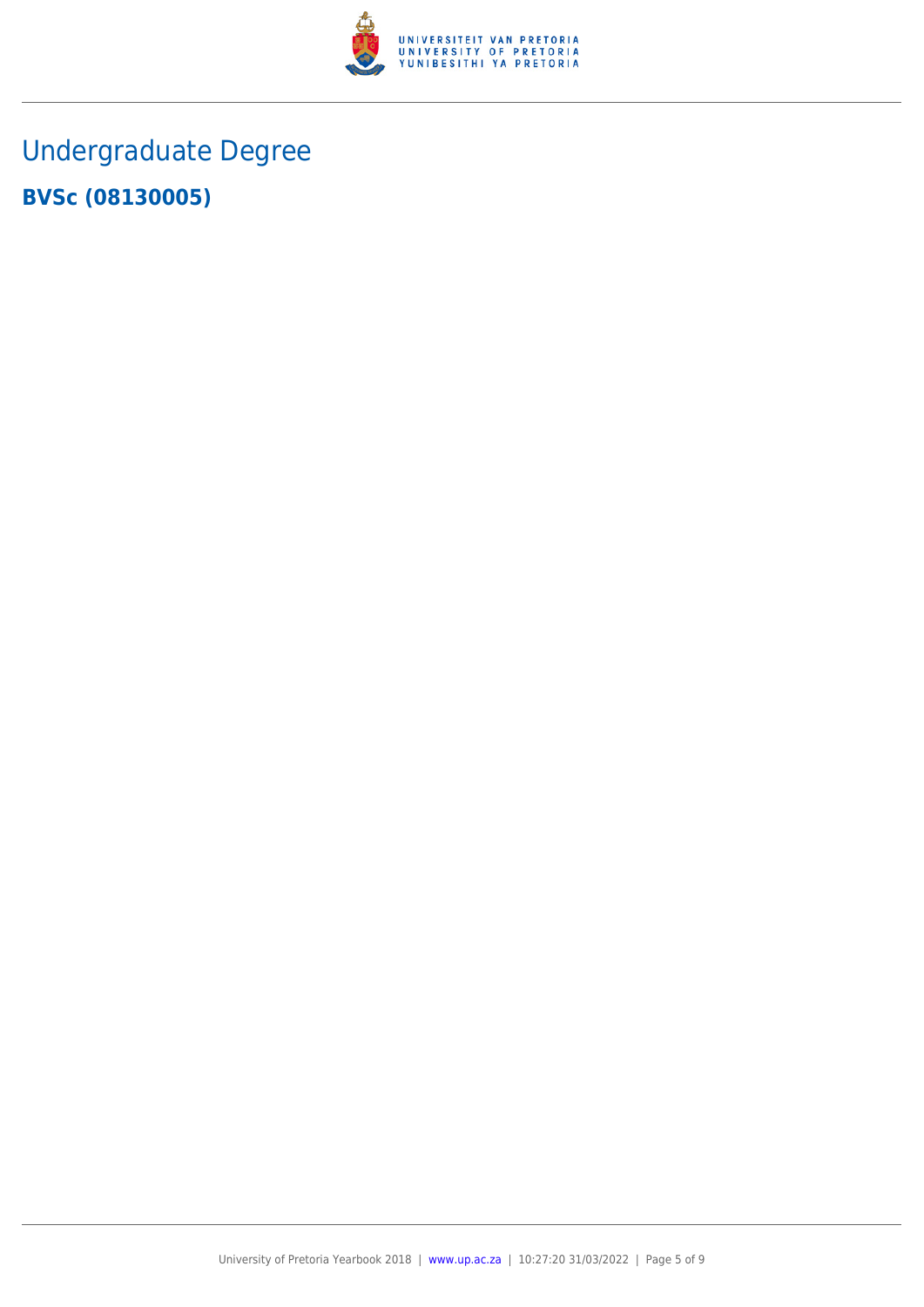

# Undergraduate Degree **BVSc (08130005)**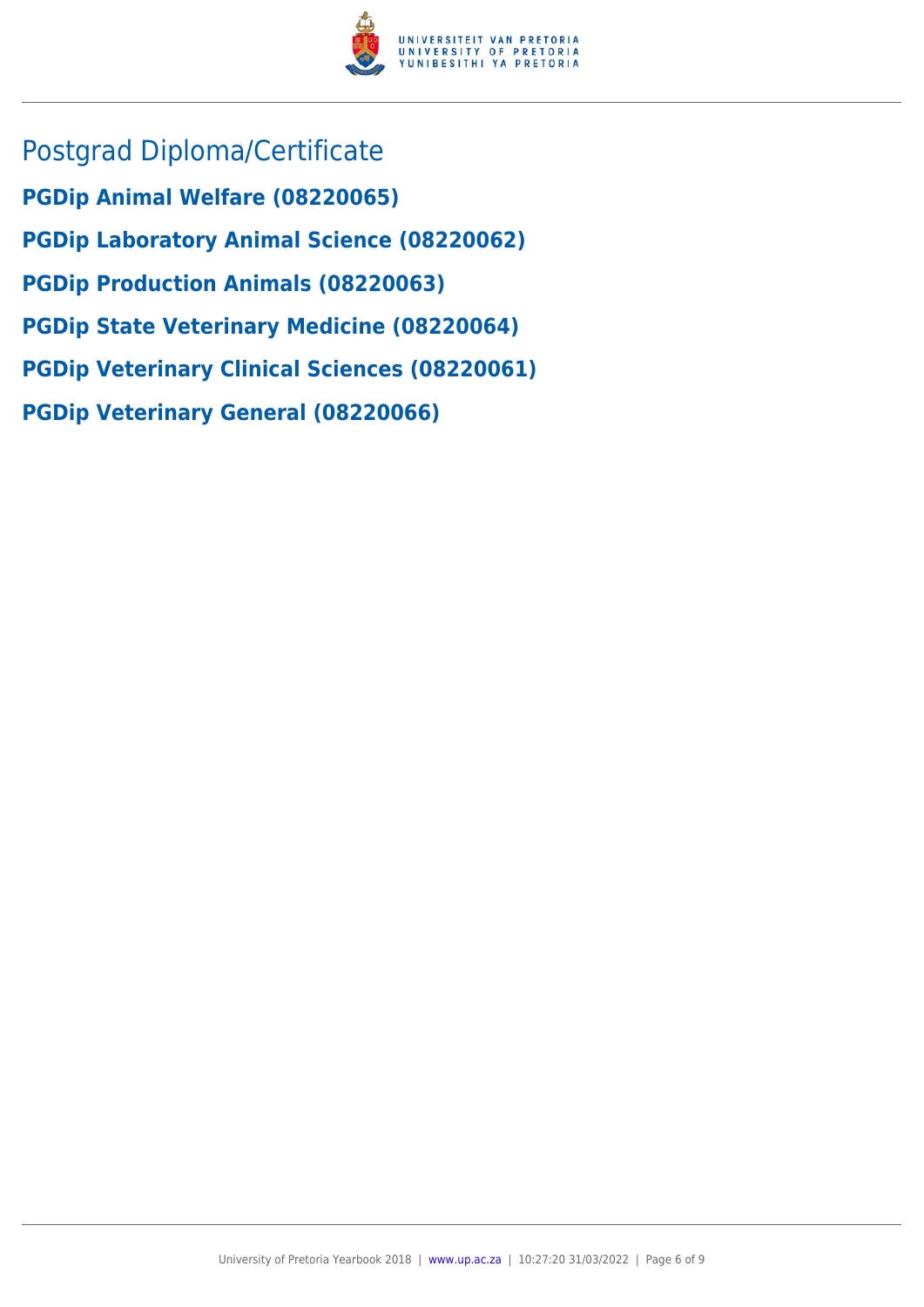

Postgrad Diploma/Certificate **PGDip Animal Welfare (08220065) PGDip Laboratory Animal Science (08220062) PGDip Production Animals (08220063) PGDip State Veterinary Medicine (08220064) PGDip Veterinary Clinical Sciences (08220061) PGDip Veterinary General (08220066)**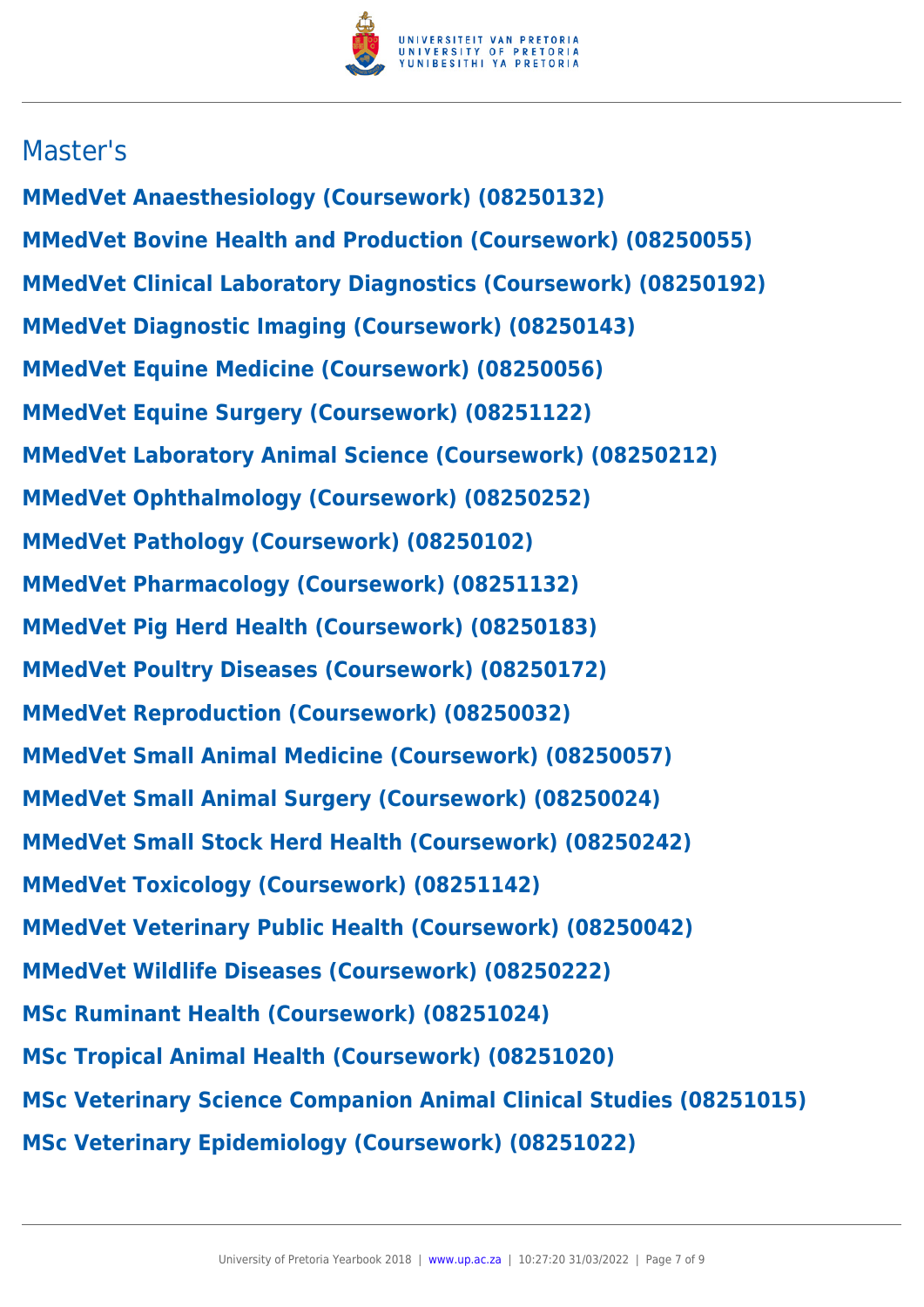

### Master's

**MMedVet Anaesthesiology (Coursework) (08250132) MMedVet Bovine Health and Production (Coursework) (08250055) MMedVet Clinical Laboratory Diagnostics (Coursework) (08250192) MMedVet Diagnostic Imaging (Coursework) (08250143) MMedVet Equine Medicine (Coursework) (08250056) MMedVet Equine Surgery (Coursework) (08251122) MMedVet Laboratory Animal Science (Coursework) (08250212) MMedVet Ophthalmology (Coursework) (08250252) MMedVet Pathology (Coursework) (08250102) MMedVet Pharmacology (Coursework) (08251132) MMedVet Pig Herd Health (Coursework) (08250183) MMedVet Poultry Diseases (Coursework) (08250172) MMedVet Reproduction (Coursework) (08250032) MMedVet Small Animal Medicine (Coursework) (08250057) MMedVet Small Animal Surgery (Coursework) (08250024) MMedVet Small Stock Herd Health (Coursework) (08250242) MMedVet Toxicology (Coursework) (08251142) MMedVet Veterinary Public Health (Coursework) (08250042) MMedVet Wildlife Diseases (Coursework) (08250222) MSc Ruminant Health (Coursework) (08251024) MSc Tropical Animal Health (Coursework) (08251020) MSc Veterinary Science Companion Animal Clinical Studies (08251015) MSc Veterinary Epidemiology (Coursework) (08251022)**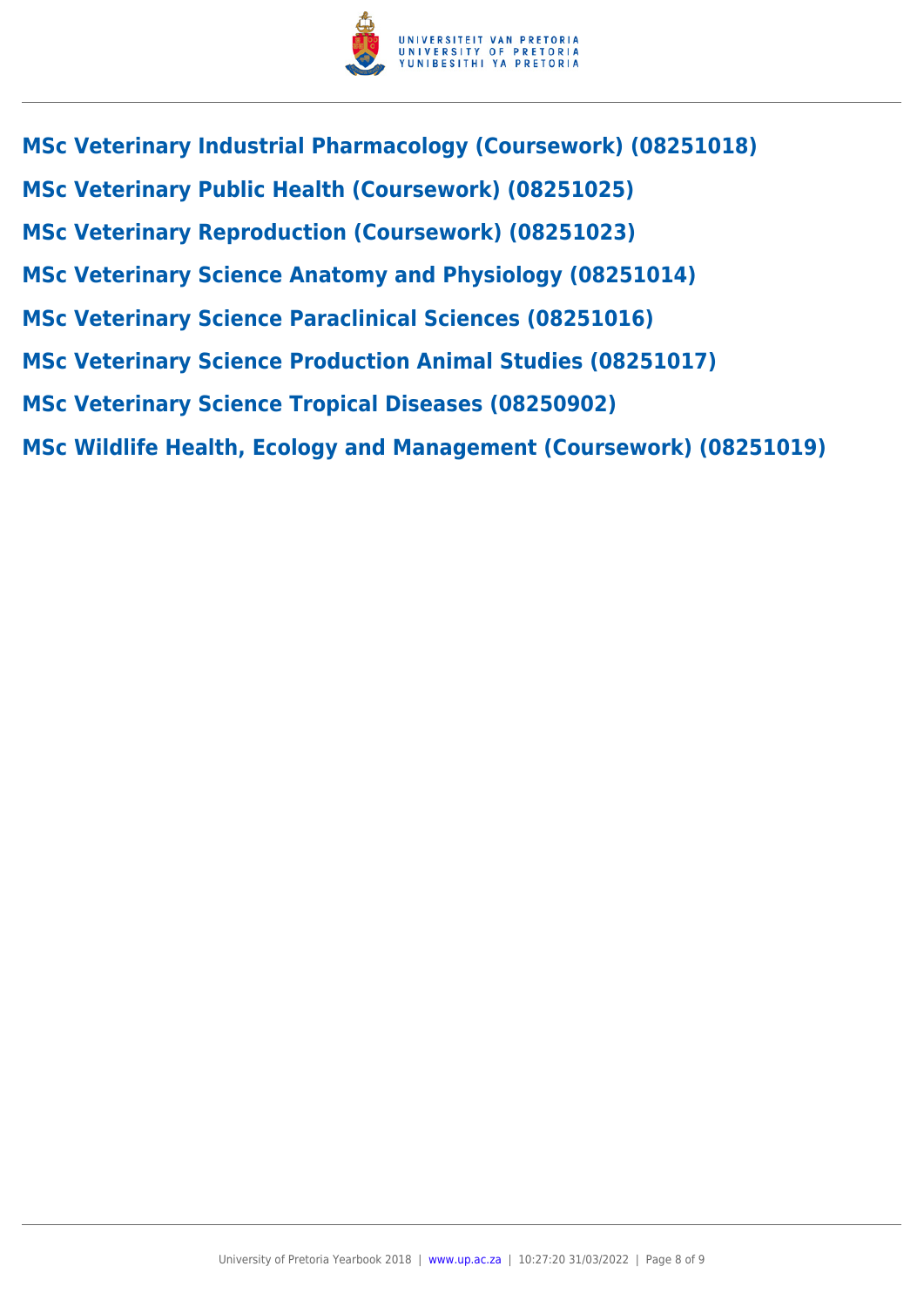

- **MSc Veterinary Industrial Pharmacology (Coursework) (08251018) MSc Veterinary Public Health (Coursework) (08251025) MSc Veterinary Reproduction (Coursework) (08251023) MSc Veterinary Science Anatomy and Physiology (08251014)**
- **MSc Veterinary Science Paraclinical Sciences (08251016)**
- **MSc Veterinary Science Production Animal Studies (08251017)**
- **MSc Veterinary Science Tropical Diseases (08250902)**
- **MSc Wildlife Health, Ecology and Management (Coursework) (08251019)**